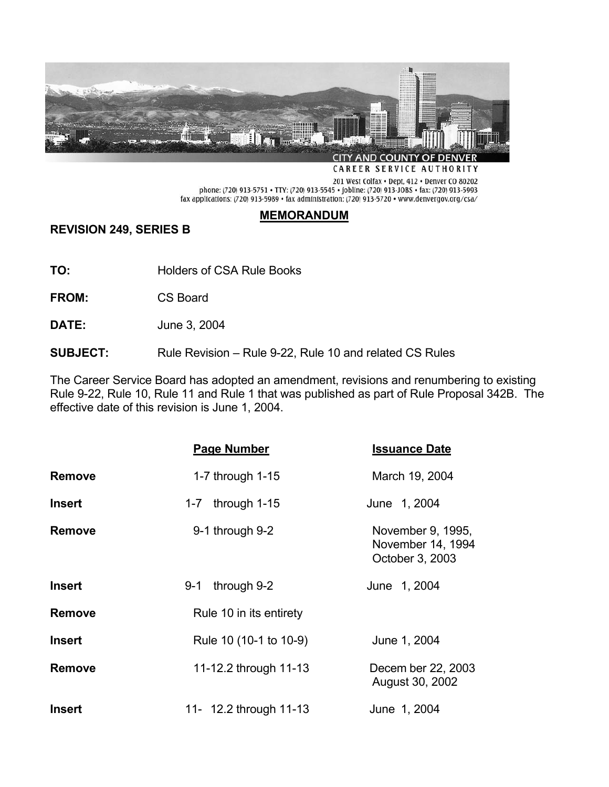

CAREER SERVICE AUTHORITY

201 West Colfax . Dept, 412 . Denver CO 80202 phone: (720) 913-5751 • TTY: (720) 913-5545 • jobline: (720) 913-JOBS • fax: (720) 913-5993 fax applications: (720) 913-5989 • fax administration: (720) 913-5720 • www.denvergov.org/csa/

# **MEMORANDUM**

**REVISION 249, SERIES B** 

**TO:** Holders of CSA Rule Books

**FROM:** CS Board

**DATE:** June 3, 2004

**SUBJECT:** Rule Revision – Rule 9-22, Rule 10 and related CS Rules

The Career Service Board has adopted an amendment, revisions and renumbering to existing Rule 9-22, Rule 10, Rule 11 and Rule 1 that was published as part of Rule Proposal 342B. The effective date of this revision is June 1, 2004.

|               | Page Number             | <b>Issuance Date</b>                                      |
|---------------|-------------------------|-----------------------------------------------------------|
| <b>Remove</b> | 1-7 through 1-15        | March 19, 2004                                            |
| <b>Insert</b> | through 1-15<br>$1 - 7$ | June 1, 2004                                              |
| <b>Remove</b> | 9-1 through 9-2         | November 9, 1995,<br>November 14, 1994<br>October 3, 2003 |
| <b>Insert</b> | through 9-2<br>9-1      | June 1, 2004                                              |
| <b>Remove</b> | Rule 10 in its entirety |                                                           |
| <b>Insert</b> | Rule 10 (10-1 to 10-9)  | June 1, 2004                                              |
| <b>Remove</b> | 11-12.2 through 11-13   | Decem ber 22, 2003<br>August 30, 2002                     |
| <b>Insert</b> | 11- 12.2 through 11-13  | June 1, 2004                                              |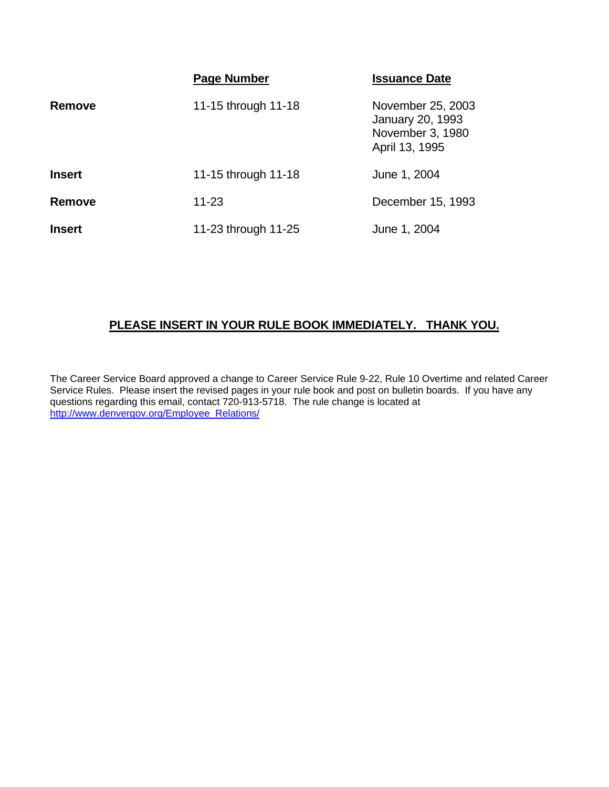|               | Page Number         | <b>Issuance Date</b>                                                               |
|---------------|---------------------|------------------------------------------------------------------------------------|
| <b>Remove</b> | 11-15 through 11-18 | November 25, 2003<br><b>January 20, 1993</b><br>November 3, 1980<br>April 13, 1995 |
| <b>Insert</b> | 11-15 through 11-18 | June 1, 2004                                                                       |
| <b>Remove</b> | $11 - 23$           | December 15, 1993                                                                  |
| <b>Insert</b> | 11-23 through 11-25 | June 1, 2004                                                                       |

# **PLEASE INSERT IN YOUR RULE BOOK IMMEDIATELY. THANK YOU.**

The Career Service Board approved a change to Career Service Rule 9-22, Rule 10 Overtime and related Career Service Rules. Please insert the revised pages in your rule book and post on bulletin boards. If you have any questions regarding this email, contact 720-913-5718. The rule change is located at http://www.denvergov.org/Employee\_Relations/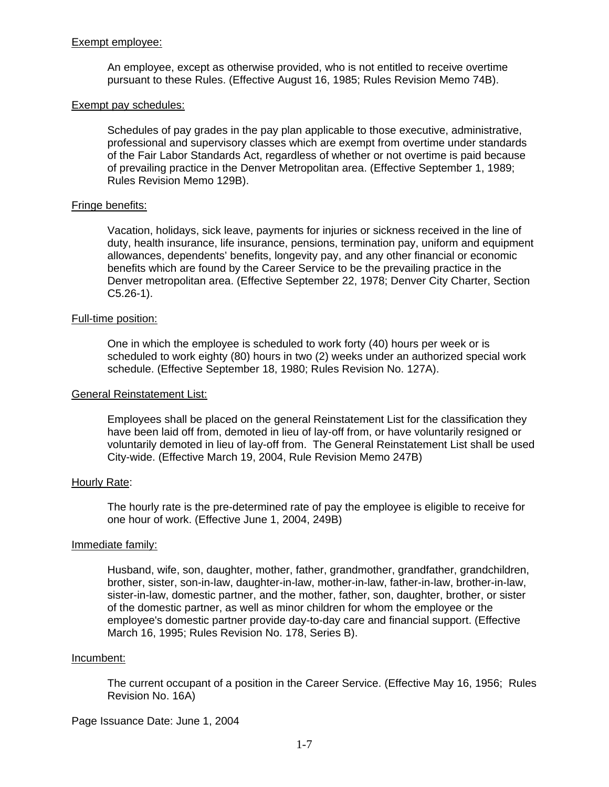### Exempt employee:

An employee, except as otherwise provided, who is not entitled to receive overtime pursuant to these Rules. (Effective August 16, 1985; Rules Revision Memo 74B).

#### Exempt pay schedules:

Schedules of pay grades in the pay plan applicable to those executive, administrative, professional and supervisory classes which are exempt from overtime under standards of the Fair Labor Standards Act, regardless of whether or not overtime is paid because of prevailing practice in the Denver Metropolitan area. (Effective September 1, 1989; Rules Revision Memo 129B).

# Fringe benefits:

Vacation, holidays, sick leave, payments for injuries or sickness received in the line of duty, health insurance, life insurance, pensions, termination pay, uniform and equipment allowances, dependents' benefits, longevity pay, and any other financial or economic benefits which are found by the Career Service to be the prevailing practice in the Denver metropolitan area. (Effective September 22, 1978; Denver City Charter, Section  $C5.26-1$ .

### Full-time position:

One in which the employee is scheduled to work forty (40) hours per week or is scheduled to work eighty (80) hours in two (2) weeks under an authorized special work schedule. (Effective September 18, 1980; Rules Revision No. 127A).

#### General Reinstatement List:

Employees shall be placed on the general Reinstatement List for the classification they have been laid off from, demoted in lieu of lay-off from, or have voluntarily resigned or voluntarily demoted in lieu of lay-off from. The General Reinstatement List shall be used City-wide. (Effective March 19, 2004, Rule Revision Memo 247B)

#### Hourly Rate:

The hourly rate is the pre-determined rate of pay the employee is eligible to receive for one hour of work. (Effective June 1, 2004, 249B)

#### Immediate family:

Husband, wife, son, daughter, mother, father, grandmother, grandfather, grandchildren, brother, sister, son-in-law, daughter-in-law, mother-in-law, father-in-law, brother-in-law, sister-in-law, domestic partner, and the mother, father, son, daughter, brother, or sister of the domestic partner, as well as minor children for whom the employee or the employee's domestic partner provide day-to-day care and financial support. (Effective March 16, 1995; Rules Revision No. 178, Series B).

#### Incumbent:

The current occupant of a position in the Career Service. (Effective May 16, 1956; Rules Revision No. 16A)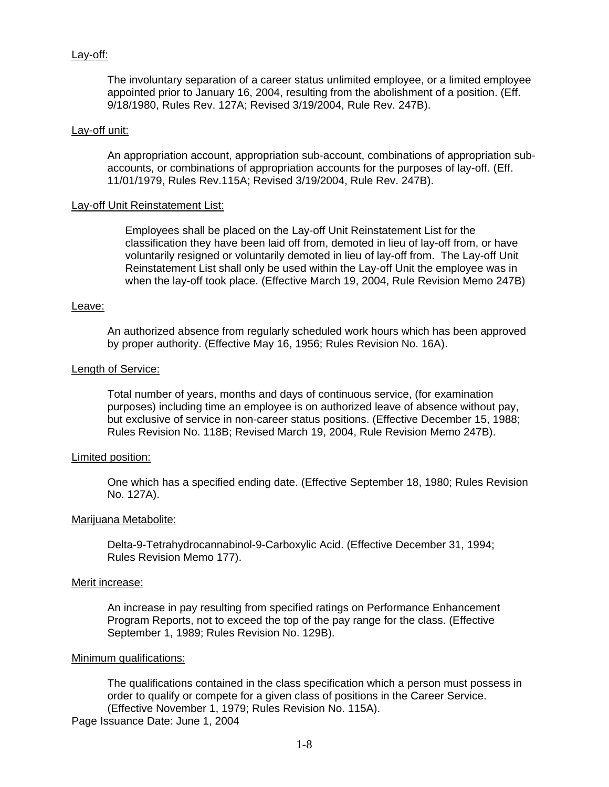# Lay-off:

The involuntary separation of a career status unlimited employee, or a limited employee appointed prior to January 16, 2004, resulting from the abolishment of a position. (Eff. 9/18/1980, Rules Rev. 127A; Revised 3/19/2004, Rule Rev. 247B).

### Lay-off unit:

An appropriation account, appropriation sub-account, combinations of appropriation subaccounts, or combinations of appropriation accounts for the purposes of lay-off. (Eff. 11/01/1979, Rules Rev.115A; Revised 3/19/2004, Rule Rev. 247B).

### Lay-off Unit Reinstatement List:

Employees shall be placed on the Lay-off Unit Reinstatement List for the classification they have been laid off from, demoted in lieu of lay-off from, or have voluntarily resigned or voluntarily demoted in lieu of lay-off from. The Lay-off Unit Reinstatement List shall only be used within the Lay-off Unit the employee was in when the lay-off took place. (Effective March 19, 2004, Rule Revision Memo 247B)

### Leave:

An authorized absence from regularly scheduled work hours which has been approved by proper authority. (Effective May 16, 1956; Rules Revision No. 16A).

### Length of Service:

Total number of years, months and days of continuous service, (for examination purposes) including time an employee is on authorized leave of absence without pay, but exclusive of service in non-career status positions. (Effective December 15, 1988; Rules Revision No. 118B; Revised March 19, 2004, Rule Revision Memo 247B).

# Limited position:

One which has a specified ending date. (Effective September 18, 1980; Rules Revision No. 127A).

#### Marijuana Metabolite:

Delta-9-Tetrahydrocannabinol-9-Carboxylic Acid. (Effective December 31, 1994; Rules Revision Memo 177).

#### Merit increase:

An increase in pay resulting from specified ratings on Performance Enhancement Program Reports, not to exceed the top of the pay range for the class. (Effective September 1, 1989; Rules Revision No. 129B).

#### Minimum qualifications:

The qualifications contained in the class specification which a person must possess in order to qualify or compete for a given class of positions in the Career Service. (Effective November 1, 1979; Rules Revision No. 115A).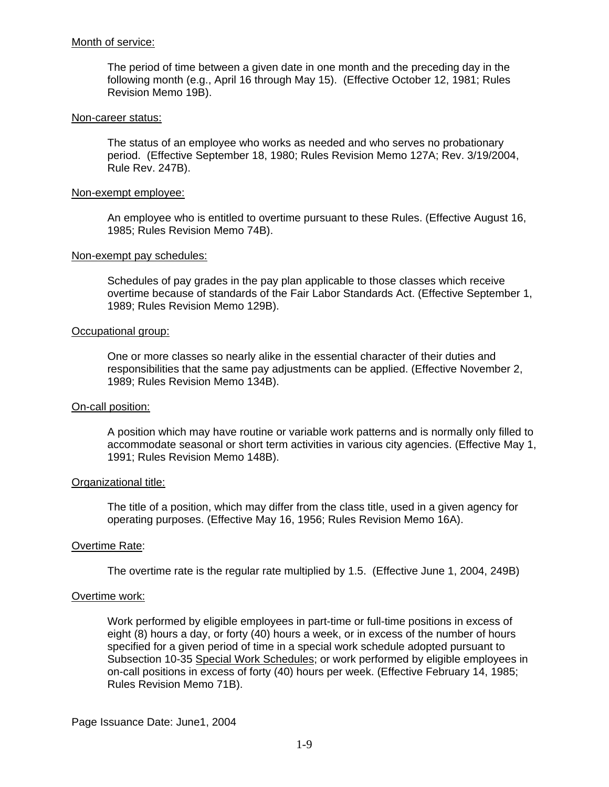### Month of service:

The period of time between a given date in one month and the preceding day in the following month (e.g., April 16 through May 15). (Effective October 12, 1981; Rules Revision Memo 19B).

#### Non-career status:

The status of an employee who works as needed and who serves no probationary period. (Effective September 18, 1980; Rules Revision Memo 127A; Rev. 3/19/2004, Rule Rev. 247B).

### Non-exempt employee:

An employee who is entitled to overtime pursuant to these Rules. (Effective August 16, 1985; Rules Revision Memo 74B).

### Non-exempt pay schedules:

Schedules of pay grades in the pay plan applicable to those classes which receive overtime because of standards of the Fair Labor Standards Act. (Effective September 1, 1989; Rules Revision Memo 129B).

### Occupational group:

One or more classes so nearly alike in the essential character of their duties and responsibilities that the same pay adjustments can be applied. (Effective November 2, 1989; Rules Revision Memo 134B).

# On-call position:

A position which may have routine or variable work patterns and is normally only filled to accommodate seasonal or short term activities in various city agencies. (Effective May 1, 1991; Rules Revision Memo 148B).

# Organizational title:

The title of a position, which may differ from the class title, used in a given agency for operating purposes. (Effective May 16, 1956; Rules Revision Memo 16A).

# Overtime Rate:

The overtime rate is the regular rate multiplied by 1.5. (Effective June 1, 2004, 249B)

#### Overtime work:

Work performed by eligible employees in part-time or full-time positions in excess of eight (8) hours a day, or forty (40) hours a week, or in excess of the number of hours specified for a given period of time in a special work schedule adopted pursuant to Subsection 10-35 Special Work Schedules; or work performed by eligible employees in on-call positions in excess of forty (40) hours per week. (Effective February 14, 1985; Rules Revision Memo 71B).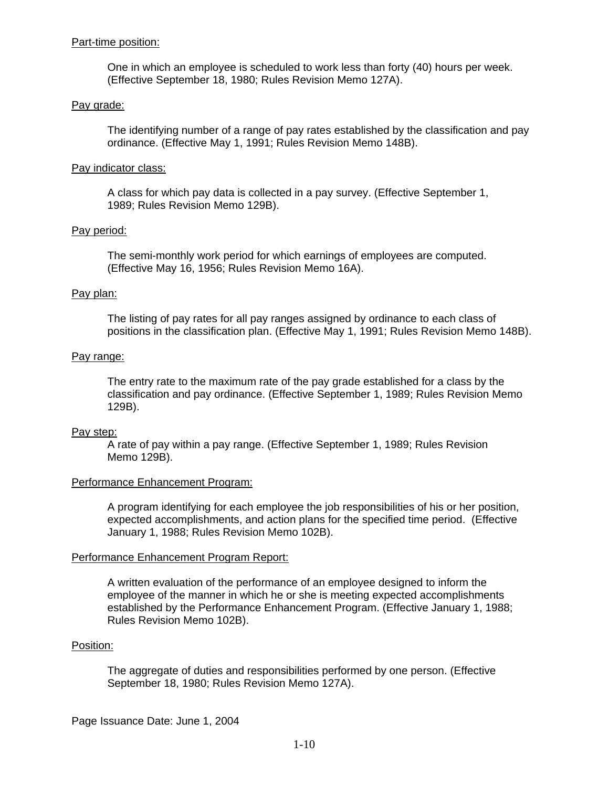### Part-time position:

One in which an employee is scheduled to work less than forty (40) hours per week. (Effective September 18, 1980; Rules Revision Memo 127A).

### Pay grade:

The identifying number of a range of pay rates established by the classification and pay ordinance. (Effective May 1, 1991; Rules Revision Memo 148B).

### Pay indicator class:

A class for which pay data is collected in a pay survey. (Effective September 1, 1989; Rules Revision Memo 129B).

### Pay period:

The semi-monthly work period for which earnings of employees are computed. (Effective May 16, 1956; Rules Revision Memo 16A).

### Pay plan:

The listing of pay rates for all pay ranges assigned by ordinance to each class of positions in the classification plan. (Effective May 1, 1991; Rules Revision Memo 148B).

### Pay range:

The entry rate to the maximum rate of the pay grade established for a class by the classification and pay ordinance. (Effective September 1, 1989; Rules Revision Memo 129B).

#### Pay step:

A rate of pay within a pay range. (Effective September 1, 1989; Rules Revision Memo 129B).

# Performance Enhancement Program:

A program identifying for each employee the job responsibilities of his or her position, expected accomplishments, and action plans for the specified time period. (Effective January 1, 1988; Rules Revision Memo 102B).

# Performance Enhancement Program Report:

A written evaluation of the performance of an employee designed to inform the employee of the manner in which he or she is meeting expected accomplishments established by the Performance Enhancement Program. (Effective January 1, 1988; Rules Revision Memo 102B).

#### Position:

The aggregate of duties and responsibilities performed by one person. (Effective September 18, 1980; Rules Revision Memo 127A).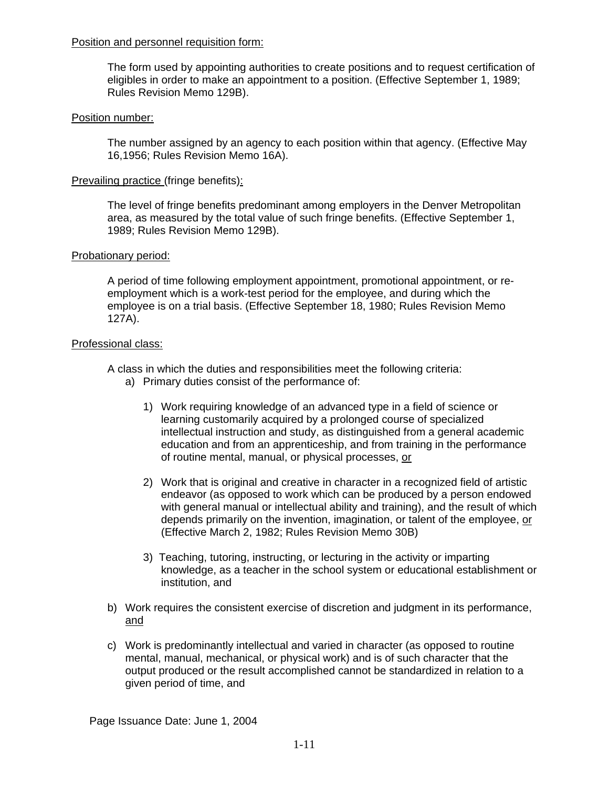# Position and personnel requisition form:

The form used by appointing authorities to create positions and to request certification of eligibles in order to make an appointment to a position. (Effective September 1, 1989; Rules Revision Memo 129B).

# Position number:

The number assigned by an agency to each position within that agency. (Effective May 16,1956; Rules Revision Memo 16A).

# Prevailing practice (fringe benefits):

The level of fringe benefits predominant among employers in the Denver Metropolitan area, as measured by the total value of such fringe benefits. (Effective September 1, 1989; Rules Revision Memo 129B).

# Probationary period:

A period of time following employment appointment, promotional appointment, or reemployment which is a work-test period for the employee, and during which the employee is on a trial basis. (Effective September 18, 1980; Rules Revision Memo 127A).

# Professional class:

A class in which the duties and responsibilities meet the following criteria:

- a) Primary duties consist of the performance of:
	- 1) Work requiring knowledge of an advanced type in a field of science or learning customarily acquired by a prolonged course of specialized intellectual instruction and study, as distinguished from a general academic education and from an apprenticeship, and from training in the performance of routine mental, manual, or physical processes, or
	- 2) Work that is original and creative in character in a recognized field of artistic endeavor (as opposed to work which can be produced by a person endowed with general manual or intellectual ability and training), and the result of which depends primarily on the invention, imagination, or talent of the employee, or (Effective March 2, 1982; Rules Revision Memo 30B)
	- 3) Teaching, tutoring, instructing, or lecturing in the activity or imparting knowledge, as a teacher in the school system or educational establishment or institution, and
- b) Work requires the consistent exercise of discretion and judgment in its performance, and
- c) Work is predominantly intellectual and varied in character (as opposed to routine mental, manual, mechanical, or physical work) and is of such character that the output produced or the result accomplished cannot be standardized in relation to a given period of time, and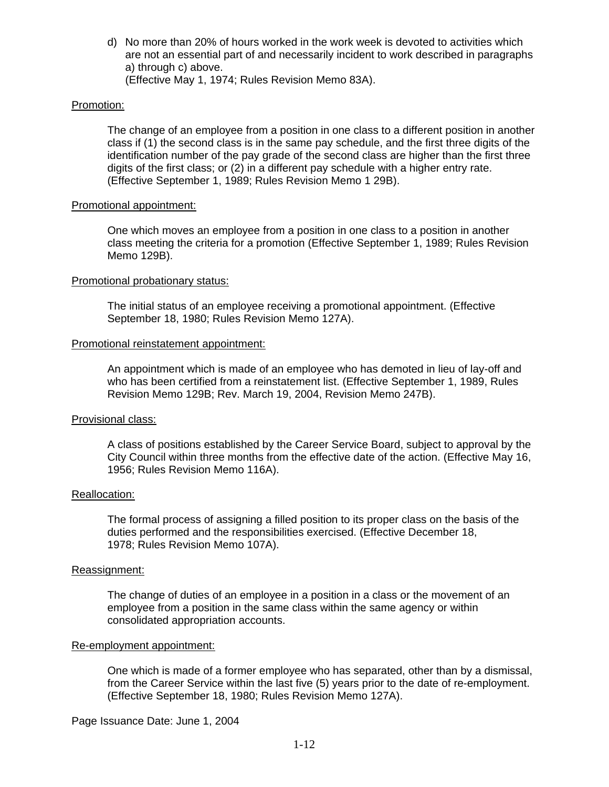d) No more than 20% of hours worked in the work week is devoted to activities which are not an essential part of and necessarily incident to work described in paragraphs a) through c) above. (Effective May 1, 1974; Rules Revision Memo 83A).

# Promotion:

The change of an employee from a position in one class to a different position in another class if (1) the second class is in the same pay schedule, and the first three digits of the identification number of the pay grade of the second class are higher than the first three digits of the first class; or (2) in a different pay schedule with a higher entry rate. (Effective September 1, 1989; Rules Revision Memo 1 29B).

### Promotional appointment:

One which moves an employee from a position in one class to a position in another class meeting the criteria for a promotion (Effective September 1, 1989; Rules Revision Memo 129B).

### Promotional probationary status:

The initial status of an employee receiving a promotional appointment. (Effective September 18, 1980; Rules Revision Memo 127A).

### Promotional reinstatement appointment:

An appointment which is made of an employee who has demoted in lieu of lay-off and who has been certified from a reinstatement list. (Effective September 1, 1989, Rules Revision Memo 129B; Rev. March 19, 2004, Revision Memo 247B).

#### Provisional class:

A class of positions established by the Career Service Board, subject to approval by the City Council within three months from the effective date of the action. (Effective May 16, 1956; Rules Revision Memo 116A).

#### Reallocation:

The formal process of assigning a filled position to its proper class on the basis of the duties performed and the responsibilities exercised. (Effective December 18, 1978; Rules Revision Memo 107A).

### Reassignment:

The change of duties of an employee in a position in a class or the movement of an employee from a position in the same class within the same agency or within consolidated appropriation accounts.

### Re-employment appointment:

One which is made of a former employee who has separated, other than by a dismissal, from the Career Service within the last five (5) years prior to the date of re-employment. (Effective September 18, 1980; Rules Revision Memo 127A).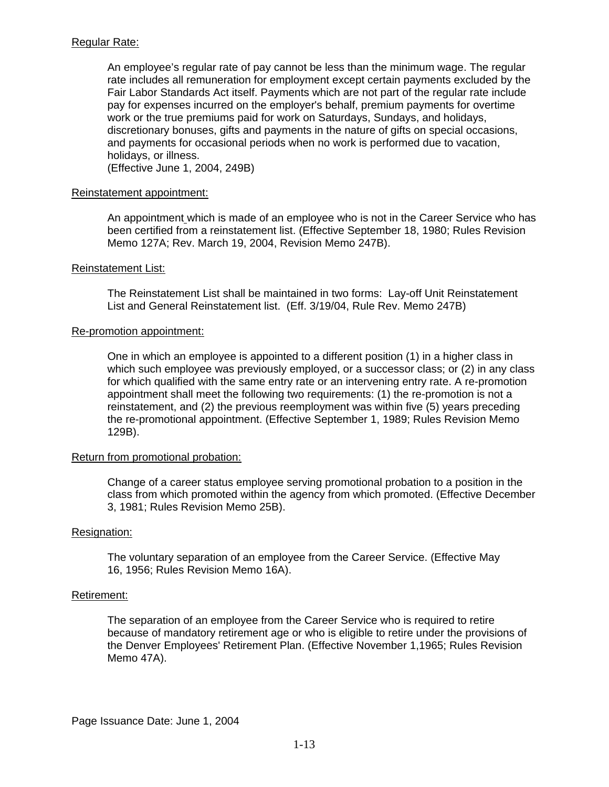# Regular Rate:

An employee's regular rate of pay cannot be less than the minimum wage. The regular rate includes all remuneration for employment except certain payments excluded by the Fair Labor Standards Act itself. Payments which are not part of the regular rate include pay for expenses incurred on the employer's behalf, premium payments for overtime work or the true premiums paid for work on Saturdays, Sundays, and holidays, discretionary bonuses, gifts and payments in the nature of gifts on special occasions, and payments for occasional periods when no work is performed due to vacation, holidays, or illness.

(Effective June 1, 2004, 249B)

### Reinstatement appointment:

An appointment which is made of an employee who is not in the Career Service who has been certified from a reinstatement list. (Effective September 18, 1980; Rules Revision Memo 127A; Rev. March 19, 2004, Revision Memo 247B).

### Reinstatement List:

The Reinstatement List shall be maintained in two forms: Lay-off Unit Reinstatement List and General Reinstatement list. (Eff. 3/19/04, Rule Rev. Memo 247B)

### Re-promotion appointment:

One in which an employee is appointed to a different position (1) in a higher class in which such employee was previously employed, or a successor class; or (2) in any class for which qualified with the same entry rate or an intervening entry rate. A re-promotion appointment shall meet the following two requirements: (1) the re-promotion is not a reinstatement, and (2) the previous reemployment was within five (5) years preceding the re-promotional appointment. (Effective September 1, 1989; Rules Revision Memo 129B).

# Return from promotional probation:

Change of a career status employee serving promotional probation to a position in the class from which promoted within the agency from which promoted. (Effective December 3, 1981; Rules Revision Memo 25B).

# Resignation:

The voluntary separation of an employee from the Career Service. (Effective May 16, 1956; Rules Revision Memo 16A).

# Retirement:

The separation of an employee from the Career Service who is required to retire because of mandatory retirement age or who is eligible to retire under the provisions of the Denver Employees' Retirement Plan. (Effective November 1,1965; Rules Revision Memo 47A).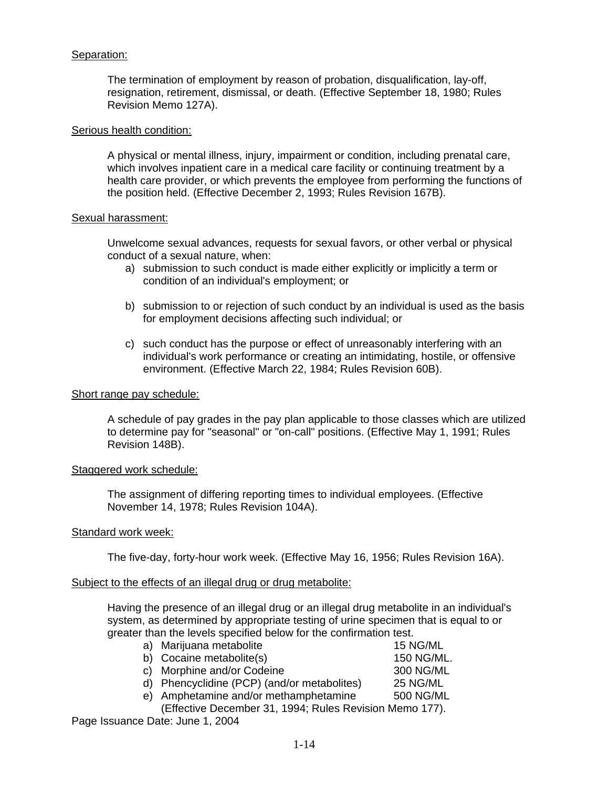# Separation:

The termination of employment by reason of probation, disqualification, lay-off, resignation, retirement, dismissal, or death. (Effective September 18, 1980; Rules Revision Memo 127A).

### Serious health condition:

A physical or mental illness, injury, impairment or condition, including prenatal care, which involves inpatient care in a medical care facility or continuing treatment by a health care provider, or which prevents the employee from performing the functions of the position held. (Effective December 2, 1993; Rules Revision 167B).

### Sexual harassment:

Unwelcome sexual advances, requests for sexual favors, or other verbal or physical conduct of a sexual nature, when:

- a) submission to such conduct is made either explicitly or implicitly a term or condition of an individual's employment; or
- b) submission to or rejection of such conduct by an individual is used as the basis for employment decisions affecting such individual; or
- c) such conduct has the purpose or effect of unreasonably interfering with an individual's work performance or creating an intimidating, hostile, or offensive environment. (Effective March 22, 1984; Rules Revision 60B).

#### Short range pay schedule:

A schedule of pay grades in the pay plan applicable to those classes which are utilized to determine pay for "seasonal" or "on-call" positions. (Effective May 1, 1991; Rules Revision 148B).

#### Staggered work schedule:

The assignment of differing reporting times to individual employees. (Effective November 14, 1978; Rules Revision 104A).

# Standard work week:

The five-day, forty-hour work week. (Effective May 16, 1956; Rules Revision 16A).

#### Subject to the effects of an illegal drug or drug metabolite:

Having the presence of an illegal drug or an illegal drug metabolite in an individual's system, as determined by appropriate testing of urine specimen that is equal to or greater than the levels specified below for the confirmation test.

| a) Marijuana metabolite                                 | 15 NG/ML   |  |
|---------------------------------------------------------|------------|--|
| b) Cocaine metabolite(s)                                | 150 NG/ML. |  |
| c) Morphine and/or Codeine                              | 300 NG/ML  |  |
| d) Phencyclidine (PCP) (and/or metabolites)             | 25 NG/ML   |  |
| e) Amphetamine and/or methamphetamine                   | 500 NG/ML  |  |
| (Effective December 31, 1994; Rules Revision Memo 177). |            |  |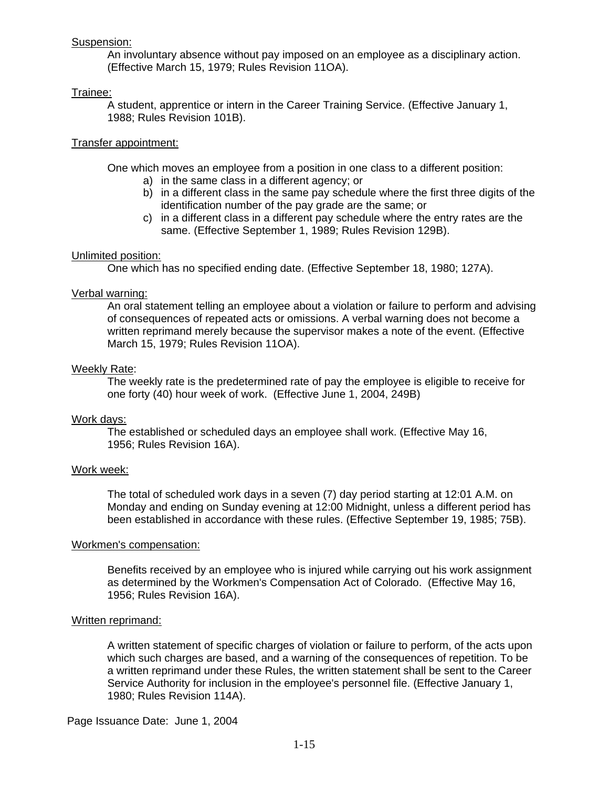# Suspension:

An involuntary absence without pay imposed on an employee as a disciplinary action. (Effective March 15, 1979; Rules Revision 11OA).

# Trainee:

A student, apprentice or intern in the Career Training Service. (Effective January 1, 1988; Rules Revision 101B).

# Transfer appointment:

One which moves an employee from a position in one class to a different position:

- a) in the same class in a different agency; or
- b) in a different class in the same pay schedule where the first three digits of the identification number of the pay grade are the same; or
- c) in a different class in a different pay schedule where the entry rates are the same. (Effective September 1, 1989; Rules Revision 129B).

# Unlimited position:

One which has no specified ending date. (Effective September 18, 1980; 127A).

# Verbal warning:

An oral statement telling an employee about a violation or failure to perform and advising of consequences of repeated acts or omissions. A verbal warning does not become a written reprimand merely because the supervisor makes a note of the event. (Effective March 15, 1979; Rules Revision 11OA).

# Weekly Rate:

The weekly rate is the predetermined rate of pay the employee is eligible to receive for one forty (40) hour week of work. (Effective June 1, 2004, 249B)

# Work days:

The established or scheduled days an employee shall work. (Effective May 16, 1956; Rules Revision 16A).

# Work week:

The total of scheduled work days in a seven (7) day period starting at 12:01 A.M. on Monday and ending on Sunday evening at 12:00 Midnight, unless a different period has been established in accordance with these rules. (Effective September 19, 1985; 75B).

# Workmen's compensation:

Benefits received by an employee who is injured while carrying out his work assignment as determined by the Workmen's Compensation Act of Colorado. (Effective May 16, 1956; Rules Revision 16A).

# Written reprimand:

A written statement of specific charges of violation or failure to perform, of the acts upon which such charges are based, and a warning of the consequences of repetition. To be a written reprimand under these Rules, the written statement shall be sent to the Career Service Authority for inclusion in the employee's personnel file. (Effective January 1, 1980; Rules Revision 114A).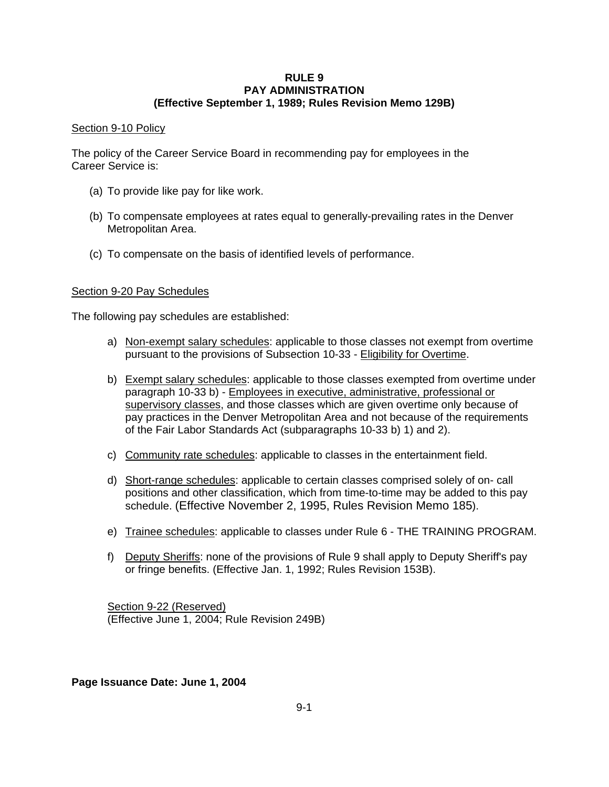### **RULE 9 PAY ADMINISTRATION (Effective September 1, 1989; Rules Revision Memo 129B)**

# Section 9-10 Policy

The policy of the Career Service Board in recommending pay for employees in the Career Service is:

- (a) To provide like pay for like work.
- (b) To compensate employees at rates equal to generally-prevailing rates in the Denver Metropolitan Area.
- (c) To compensate on the basis of identified levels of performance.

# Section 9-20 Pay Schedules

The following pay schedules are established:

- a) Non-exempt salary schedules: applicable to those classes not exempt from overtime pursuant to the provisions of Subsection 10-33 - Eligibility for Overtime.
- b) Exempt salary schedules: applicable to those classes exempted from overtime under paragraph 10-33 b) - Employees in executive, administrative, professional or supervisory classes, and those classes which are given overtime only because of pay practices in the Denver Metropolitan Area and not because of the requirements of the Fair Labor Standards Act (subparagraphs 10-33 b) 1) and 2).
- c) Community rate schedules: applicable to classes in the entertainment field.
- d) Short-range schedules: applicable to certain classes comprised solely of on- call positions and other classification, which from time-to-time may be added to this pay schedule. (Effective November 2, 1995, Rules Revision Memo 185).
- e) Trainee schedules: applicable to classes under Rule 6 THE TRAINING PROGRAM.
- f) Deputy Sheriffs: none of the provisions of Rule 9 shall apply to Deputy Sheriff's pay or fringe benefits. (Effective Jan. 1, 1992; Rules Revision 153B).

Section 9-22 (Reserved) (Effective June 1, 2004; Rule Revision 249B)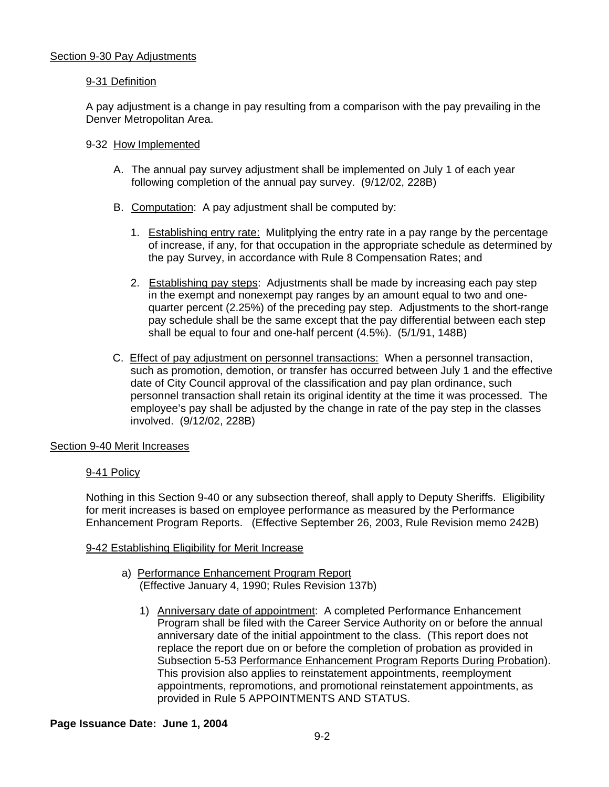# 9-31 Definition

A pay adjustment is a change in pay resulting from a comparison with the pay prevailing in the Denver Metropolitan Area.

# 9-32 How Implemented

- A. The annual pay survey adjustment shall be implemented on July 1 of each year following completion of the annual pay survey. (9/12/02, 228B)
- B. Computation: A pay adjustment shall be computed by:
	- 1. Establishing entry rate: Mulitplying the entry rate in a pay range by the percentage of increase, if any, for that occupation in the appropriate schedule as determined by the pay Survey, in accordance with Rule 8 Compensation Rates; and
	- 2. Establishing pay steps: Adjustments shall be made by increasing each pay step in the exempt and nonexempt pay ranges by an amount equal to two and onequarter percent (2.25%) of the preceding pay step. Adjustments to the short-range pay schedule shall be the same except that the pay differential between each step shall be equal to four and one-half percent (4.5%). (5/1/91, 148B)
- C. Effect of pay adjustment on personnel transactions: When a personnel transaction, such as promotion, demotion, or transfer has occurred between July 1 and the effective date of City Council approval of the classification and pay plan ordinance, such personnel transaction shall retain its original identity at the time it was processed. The employee's pay shall be adjusted by the change in rate of the pay step in the classes involved. (9/12/02, 228B)

# Section 9-40 Merit Increases

# 9-41 Policy

Nothing in this Section 9-40 or any subsection thereof, shall apply to Deputy Sheriffs. Eligibility for merit increases is based on employee performance as measured by the Performance Enhancement Program Reports. (Effective September 26, 2003, Rule Revision memo 242B)

# 9-42 Establishing Eligibility for Merit Increase

- a) Performance Enhancement Program Report (Effective January 4, 1990; Rules Revision 137b)
	- 1) Anniversary date of appointment: A completed Performance Enhancement Program shall be filed with the Career Service Authority on or before the annual anniversary date of the initial appointment to the class. (This report does not replace the report due on or before the completion of probation as provided in Subsection 5-53 Performance Enhancement Program Reports During Probation). This provision also applies to reinstatement appointments, reemployment appointments, repromotions, and promotional reinstatement appointments, as provided in Rule 5 APPOINTMENTS AND STATUS.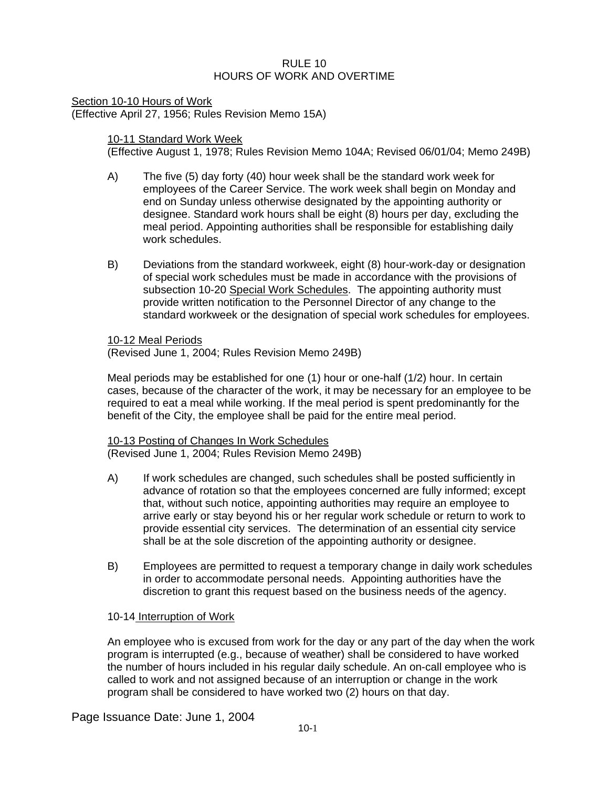# $R$ ULE 10 HOURS OF WORK AND OVERTIME

Section 10-10 Hours of Work (Effective April 27, 1956; Rules Revision Memo 15A)

# 10-11 Standard Work Week

(Effective August 1, 1978; Rules Revision Memo 104A; Revised 06/01/04; Memo 249B)

- A) The five (5) day forty (40) hour week shall be the standard work week for employees of the Career Service. The work week shall begin on Monday and end on Sunday unless otherwise designated by the appointing authority or designee. Standard work hours shall be eight (8) hours per day, excluding the meal period. Appointing authorities shall be responsible for establishing daily work schedules.
- B) Deviations from the standard workweek, eight (8) hour-work-day or designation of special work schedules must be made in accordance with the provisions of subsection 10-20 Special Work Schedules. The appointing authority must provide written notification to the Personnel Director of any change to the standard workweek or the designation of special work schedules for employees.

10-12 Meal Periods

(Revised June 1, 2004; Rules Revision Memo 249B)

Meal periods may be established for one (1) hour or one-half (1/2) hour. In certain cases, because of the character of the work, it may be necessary for an employee to be required to eat a meal while working. If the meal period is spent predominantly for the benefit of the City, the employee shall be paid for the entire meal period.

10-13 Posting of Changes In Work Schedules

- (Revised June 1, 2004; Rules Revision Memo 249B)
- A) If work schedules are changed, such schedules shall be posted sufficiently in advance of rotation so that the employees concerned are fully informed; except that, without such notice, appointing authorities may require an employee to arrive early or stay beyond his or her regular work schedule or return to work to provide essential city services. The determination of an essential city service shall be at the sole discretion of the appointing authority or designee.
- B) Employees are permitted to request a temporary change in daily work schedules in order to accommodate personal needs. Appointing authorities have the discretion to grant this request based on the business needs of the agency.

# 10-14 Interruption of Work

An employee who is excused from work for the day or any part of the day when the work program is interrupted (e.g., because of weather) shall be considered to have worked the number of hours included in his regular daily schedule. An on-call employee who is called to work and not assigned because of an interruption or change in the work program shall be considered to have worked two (2) hours on that day.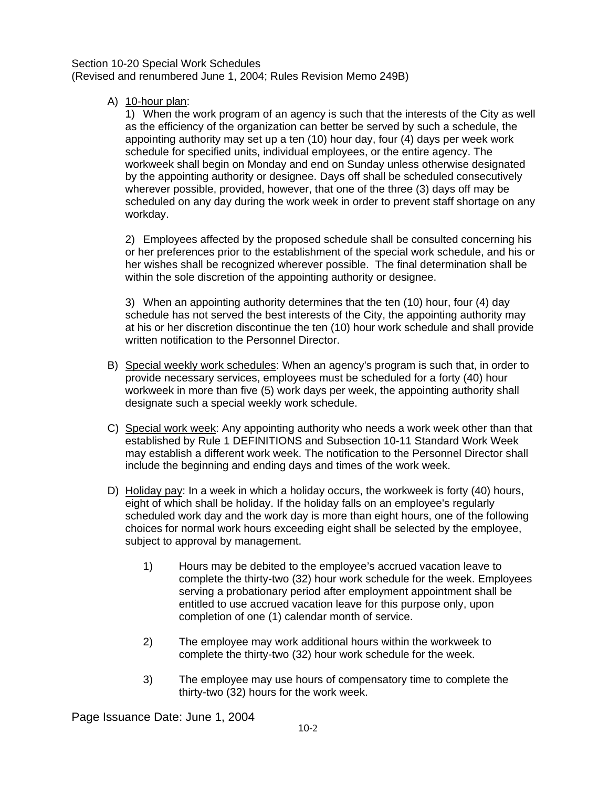### Section 10-20 Special Work Schedules (Revised and renumbered June 1, 2004; Rules Revision Memo 249B)

A) 10-hour plan:

1) When the work program of an agency is such that the interests of the City as well as the efficiency of the organization can better be served by such a schedule, the appointing authority may set up a ten (10) hour day, four (4) days per week work schedule for specified units, individual employees, or the entire agency. The workweek shall begin on Monday and end on Sunday unless otherwise designated by the appointing authority or designee. Days off shall be scheduled consecutively wherever possible, provided, however, that one of the three (3) days off may be scheduled on any day during the work week in order to prevent staff shortage on any workday.

2) Employees affected by the proposed schedule shall be consulted concerning his or her preferences prior to the establishment of the special work schedule, and his or her wishes shall be recognized wherever possible. The final determination shall be within the sole discretion of the appointing authority or designee.

3) When an appointing authority determines that the ten (10) hour, four (4) day schedule has not served the best interests of the City, the appointing authority may at his or her discretion discontinue the ten (10) hour work schedule and shall provide written notification to the Personnel Director.

- B) Special weekly work schedules: When an agency's program is such that, in order to provide necessary services, employees must be scheduled for a forty (40) hour workweek in more than five (5) work days per week, the appointing authority shall designate such a special weekly work schedule.
- C) Special work week: Any appointing authority who needs a work week other than that established by Rule 1 DEFINITIONS and Subsection 10-11 Standard Work Week may establish a different work week. The notification to the Personnel Director shall include the beginning and ending days and times of the work week.
- D) Holiday pay: In a week in which a holiday occurs, the workweek is forty (40) hours, eight of which shall be holiday. If the holiday falls on an employee's regularly scheduled work day and the work day is more than eight hours, one of the following choices for normal work hours exceeding eight shall be selected by the employee, subject to approval by management.
	- 1) Hours may be debited to the employee's accrued vacation leave to complete the thirty-two (32) hour work schedule for the week. Employees serving a probationary period after employment appointment shall be entitled to use accrued vacation leave for this purpose only, upon completion of one (1) calendar month of service.
	- 2) The employee may work additional hours within the workweek to complete the thirty-two (32) hour work schedule for the week.
	- 3) The employee may use hours of compensatory time to complete the thirty-two (32) hours for the work week.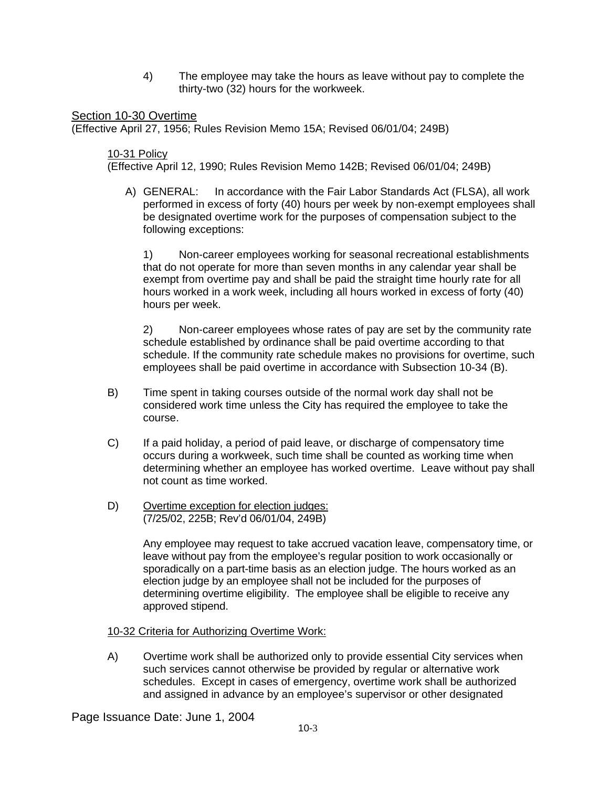4) The employee may take the hours as leave without pay to complete the thirty-two (32) hours for the workweek.

# Section 10-30 Overtime

(Effective April 27, 1956; Rules Revision Memo 15A; Revised 06/01/04; 249B)

### 10-31 Policy

(Effective April 12, 1990; Rules Revision Memo 142B; Revised 06/01/04; 249B)

A) GENERAL: In accordance with the Fair Labor Standards Act (FLSA), all work performed in excess of forty (40) hours per week by non-exempt employees shall be designated overtime work for the purposes of compensation subject to the following exceptions:

1) Non-career employees working for seasonal recreational establishments that do not operate for more than seven months in any calendar year shall be exempt from overtime pay and shall be paid the straight time hourly rate for all hours worked in a work week, including all hours worked in excess of forty (40) hours per week.

2) Non-career employees whose rates of pay are set by the community rate schedule established by ordinance shall be paid overtime according to that schedule. If the community rate schedule makes no provisions for overtime, such employees shall be paid overtime in accordance with Subsection 10-34 (B).

- B) Time spent in taking courses outside of the normal work day shall not be considered work time unless the City has required the employee to take the course.
- C) If a paid holiday, a period of paid leave, or discharge of compensatory time occurs during a workweek, such time shall be counted as working time when determining whether an employee has worked overtime. Leave without pay shall not count as time worked.
- D) Overtime exception for election judges: (7/25/02, 225B; Rev'd 06/01/04, 249B)

Any employee may request to take accrued vacation leave, compensatory time, or leave without pay from the employee's regular position to work occasionally or sporadically on a part-time basis as an election judge. The hours worked as an election judge by an employee shall not be included for the purposes of determining overtime eligibility. The employee shall be eligible to receive any approved stipend.

# 10-32 Criteria for Authorizing Overtime Work:

A) Overtime work shall be authorized only to provide essential City services when such services cannot otherwise be provided by regular or alternative work schedules. Except in cases of emergency, overtime work shall be authorized and assigned in advance by an employee's supervisor or other designated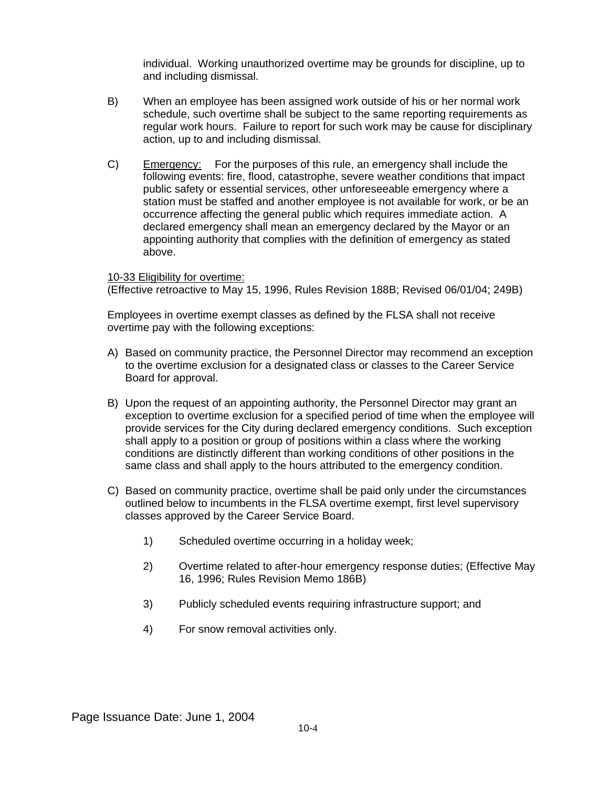individual. Working unauthorized overtime may be grounds for discipline, up to and including dismissal.

- B) When an employee has been assigned work outside of his or her normal work schedule, such overtime shall be subject to the same reporting requirements as regular work hours. Failure to report for such work may be cause for disciplinary action, up to and including dismissal.
- C) Emergency: For the purposes of this rule, an emergency shall include the following events: fire, flood, catastrophe, severe weather conditions that impact public safety or essential services, other unforeseeable emergency where a station must be staffed and another employee is not available for work, or be an occurrence affecting the general public which requires immediate action. A declared emergency shall mean an emergency declared by the Mayor or an appointing authority that complies with the definition of emergency as stated above.

10-33 Eligibility for overtime: (Effective retroactive to May 15, 1996, Rules Revision 188B; Revised 06/01/04; 249B)

Employees in overtime exempt classes as defined by the FLSA shall not receive overtime pay with the following exceptions:

- A) Based on community practice, the Personnel Director may recommend an exception to the overtime exclusion for a designated class or classes to the Career Service Board for approval.
- B) Upon the request of an appointing authority, the Personnel Director may grant an exception to overtime exclusion for a specified period of time when the employee will provide services for the City during declared emergency conditions. Such exception shall apply to a position or group of positions within a class where the working conditions are distinctly different than working conditions of other positions in the same class and shall apply to the hours attributed to the emergency condition.
- C) Based on community practice, overtime shall be paid only under the circumstances outlined below to incumbents in the FLSA overtime exempt, first level supervisory classes approved by the Career Service Board.
	- 1) Scheduled overtime occurring in a holiday week;
	- 2) Overtime related to after-hour emergency response duties; (Effective May 16, 1996; Rules Revision Memo 186B)
	- 3) Publicly scheduled events requiring infrastructure support; and
	- 4) For snow removal activities only.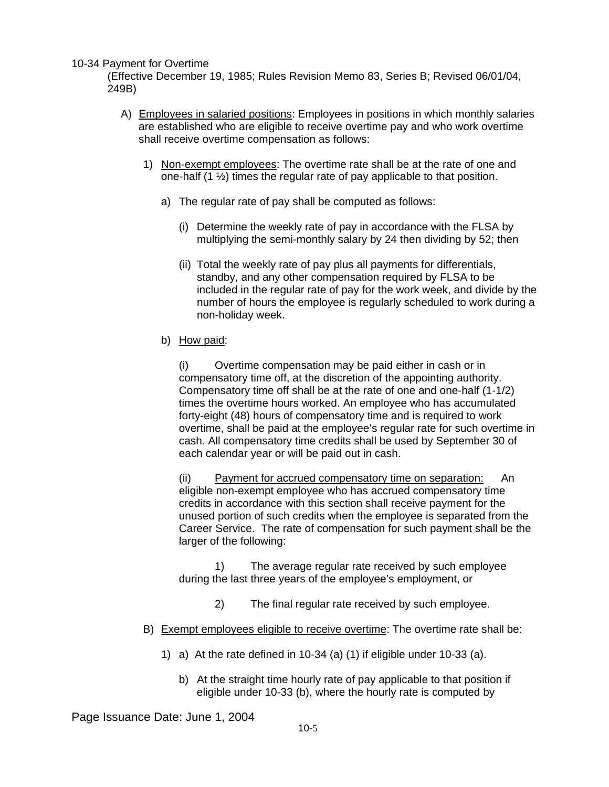# 10-34 Payment for Overtime

(Effective December 19, 1985; Rules Revision Memo 83, Series B; Revised 06/01/04, 249B)

- A) Employees in salaried positions: Employees in positions in which monthly salaries are established who are eligible to receive overtime pay and who work overtime shall receive overtime compensation as follows:
	- 1) Non-exempt employees: The overtime rate shall be at the rate of one and one-half (1 ½) times the regular rate of pay applicable to that position.
		- a) The regular rate of pay shall be computed as follows:
			- (i) Determine the weekly rate of pay in accordance with the FLSA by multiplying the semi-monthly salary by 24 then dividing by 52; then
			- (ii) Total the weekly rate of pay plus all payments for differentials, standby, and any other compensation required by FLSA to be included in the regular rate of pay for the work week, and divide by the number of hours the employee is regularly scheduled to work during a non-holiday week.
		- b) How paid:

(i) Overtime compensation may be paid either in cash or in compensatory time off, at the discretion of the appointing authority. Compensatory time off shall be at the rate of one and one-half (1-1/2) times the overtime hours worked. An employee who has accumulated forty-eight (48) hours of compensatory time and is required to work overtime, shall be paid at the employee's regular rate for such overtime in cash. All compensatory time credits shall be used by September 30 of each calendar year or will be paid out in cash.

(ii) Payment for accrued compensatory time on separation: An eligible non-exempt employee who has accrued compensatory time credits in accordance with this section shall receive payment for the unused portion of such credits when the employee is separated from the Career Service. The rate of compensation for such payment shall be the larger of the following:

 1) The average regular rate received by such employee during the last three years of the employee's employment, or

- 2) The final regular rate received by such employee.
- B) Exempt employees eligible to receive overtime: The overtime rate shall be:
	- 1) a) At the rate defined in 10-34 (a) (1) if eligible under 10-33 (a).
		- b) At the straight time hourly rate of pay applicable to that position if eligible under 10-33 (b), where the hourly rate is computed by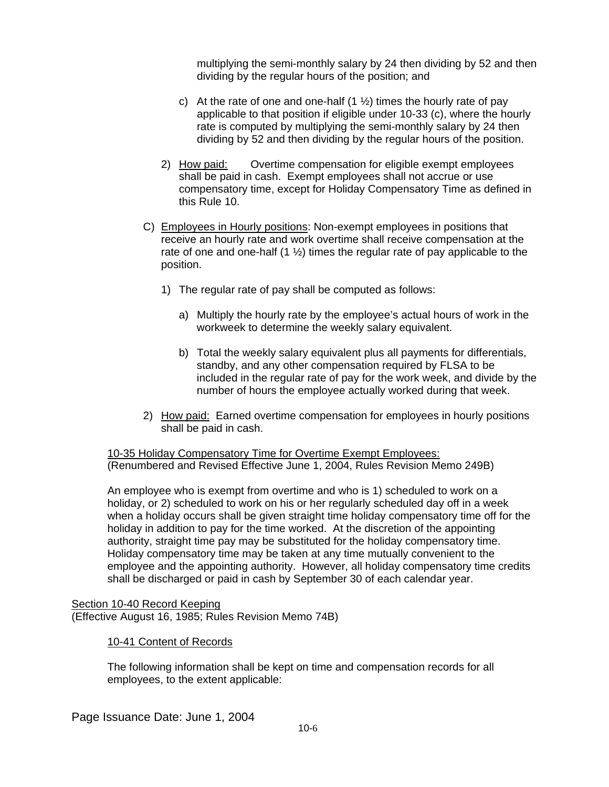multiplying the semi-monthly salary by 24 then dividing by 52 and then dividing by the regular hours of the position; and

- c) At the rate of one and one-half  $(1 \frac{1}{2})$  times the hourly rate of pay applicable to that position if eligible under 10-33 (c), where the hourly rate is computed by multiplying the semi-monthly salary by 24 then dividing by 52 and then dividing by the regular hours of the position.
- 2) How paid: Overtime compensation for eligible exempt employees shall be paid in cash. Exempt employees shall not accrue or use compensatory time, except for Holiday Compensatory Time as defined in this Rule 10.
- C) Employees in Hourly positions: Non-exempt employees in positions that receive an hourly rate and work overtime shall receive compensation at the rate of one and one-half  $(1 \frac{1}{2})$  times the regular rate of pay applicable to the position.
	- 1) The regular rate of pay shall be computed as follows:
		- a) Multiply the hourly rate by the employee's actual hours of work in the workweek to determine the weekly salary equivalent.
		- b) Total the weekly salary equivalent plus all payments for differentials, standby, and any other compensation required by FLSA to be included in the regular rate of pay for the work week, and divide by the number of hours the employee actually worked during that week.
- 2) How paid: Earned overtime compensation for employees in hourly positions shall be paid in cash.

10-35 Holiday Compensatory Time for Overtime Exempt Employees: (Renumbered and Revised Effective June 1, 2004, Rules Revision Memo 249B)

An employee who is exempt from overtime and who is 1) scheduled to work on a holiday, or 2) scheduled to work on his or her regularly scheduled day off in a week when a holiday occurs shall be given straight time holiday compensatory time off for the holiday in addition to pay for the time worked. At the discretion of the appointing authority, straight time pay may be substituted for the holiday compensatory time. Holiday compensatory time may be taken at any time mutually convenient to the employee and the appointing authority. However, all holiday compensatory time credits shall be discharged or paid in cash by September 30 of each calendar year.

Section 10-40 Record Keeping (Effective August 16, 1985; Rules Revision Memo 74B)

# 10-41 Content of Records

The following information shall be kept on time and compensation records for all employees, to the extent applicable: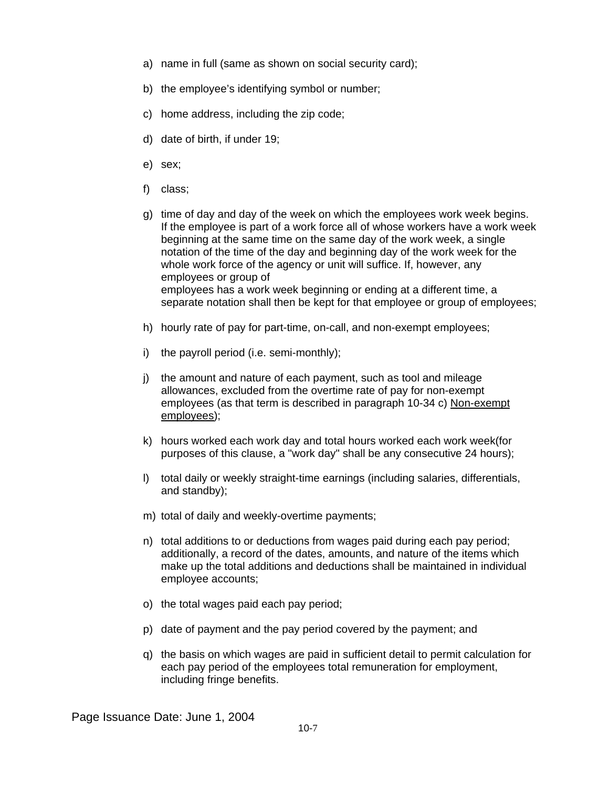- a) name in full (same as shown on social security card);
- b) the employee's identifying symbol or number;
- c) home address, including the zip code;
- d) date of birth, if under 19;
- e) sex;
- f) class;
- g) time of day and day of the week on which the employees work week begins. If the employee is part of a work force all of whose workers have a work week beginning at the same time on the same day of the work week, a single notation of the time of the day and beginning day of the work week for the whole work force of the agency or unit will suffice. If, however, any employees or group of employees has a work week beginning or ending at a different time, a separate notation shall then be kept for that employee or group of employees;
- h) hourly rate of pay for part-time, on-call, and non-exempt employees;
- i) the payroll period (i.e. semi-monthly);
- j) the amount and nature of each payment, such as tool and mileage allowances, excluded from the overtime rate of pay for non-exempt employees (as that term is described in paragraph 10-34 c) Non-exempt employees);
- k) hours worked each work day and total hours worked each work week(for purposes of this clause, a "work day" shall be any consecutive 24 hours);
- l) total daily or weekly straight-time earnings (including salaries, differentials, and standby);
- m) total of daily and weekly-overtime payments;
- n) total additions to or deductions from wages paid during each pay period; additionally, a record of the dates, amounts, and nature of the items which make up the total additions and deductions shall be maintained in individual employee accounts;
- o) the total wages paid each pay period;
- p) date of payment and the pay period covered by the payment; and
- q) the basis on which wages are paid in sufficient detail to permit calculation for each pay period of the employees total remuneration for employment, including fringe benefits.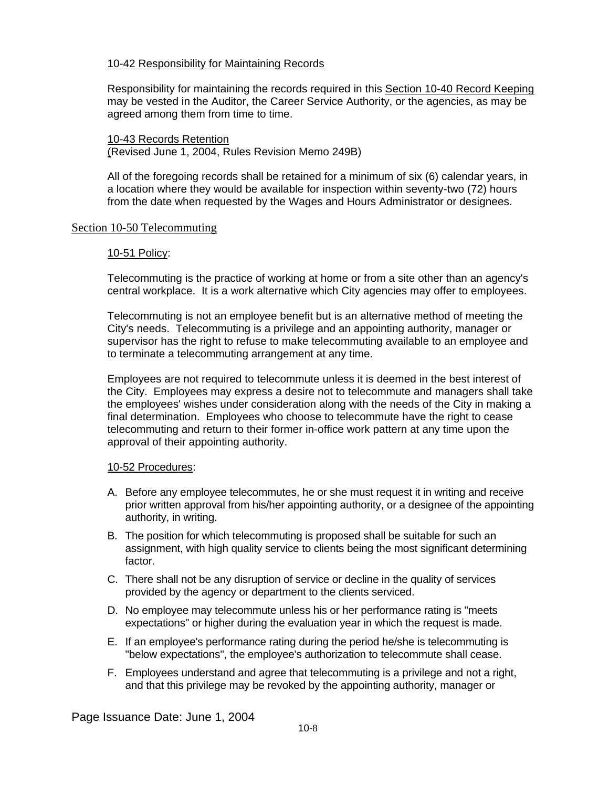# 10-42 Responsibility for Maintaining Records

Responsibility for maintaining the records required in this Section 10-40 Record Keeping may be vested in the Auditor, the Career Service Authority, or the agencies, as may be agreed among them from time to time.

10-43 Records Retention (Revised June 1, 2004, Rules Revision Memo 249B)

All of the foregoing records shall be retained for a minimum of six (6) calendar years, in a location where they would be available for inspection within seventy-two (72) hours from the date when requested by the Wages and Hours Administrator or designees.

# Section 10-50 Telecommuting

# 10-51 Policy:

Telecommuting is the practice of working at home or from a site other than an agency's central workplace. It is a work alternative which City agencies may offer to employees.

Telecommuting is not an employee benefit but is an alternative method of meeting the City's needs. Telecommuting is a privilege and an appointing authority, manager or supervisor has the right to refuse to make telecommuting available to an employee and to terminate a telecommuting arrangement at any time.

Employees are not required to telecommute unless it is deemed in the best interest of the City. Employees may express a desire not to telecommute and managers shall take the employees' wishes under consideration along with the needs of the City in making a final determination. Employees who choose to telecommute have the right to cease telecommuting and return to their former in-office work pattern at any time upon the approval of their appointing authority.

# 10-52 Procedures:

- A. Before any employee telecommutes, he or she must request it in writing and receive prior written approval from his/her appointing authority, or a designee of the appointing authority, in writing.
- B. The position for which telecommuting is proposed shall be suitable for such an assignment, with high quality service to clients being the most significant determining factor.
- C. There shall not be any disruption of service or decline in the quality of services provided by the agency or department to the clients serviced.
- D. No employee may telecommute unless his or her performance rating is "meets expectations" or higher during the evaluation year in which the request is made.
- E. If an employee's performance rating during the period he/she is telecommuting is "below expectations", the employee's authorization to telecommute shall cease.
- F. Employees understand and agree that telecommuting is a privilege and not a right, and that this privilege may be revoked by the appointing authority, manager or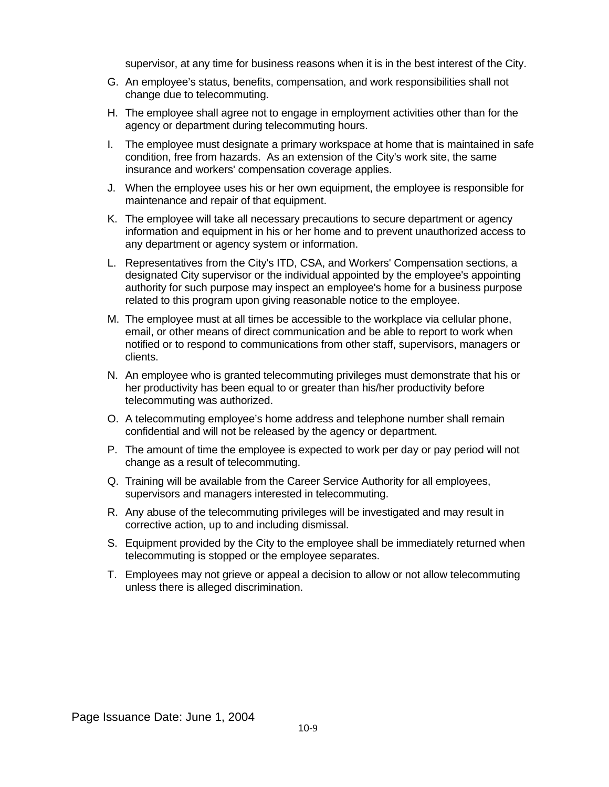supervisor, at any time for business reasons when it is in the best interest of the City.

- G. An employee's status, benefits, compensation, and work responsibilities shall not change due to telecommuting.
- H. The employee shall agree not to engage in employment activities other than for the agency or department during telecommuting hours.
- I. The employee must designate a primary workspace at home that is maintained in safe condition, free from hazards. As an extension of the City's work site, the same insurance and workers' compensation coverage applies.
- J. When the employee uses his or her own equipment, the employee is responsible for maintenance and repair of that equipment.
- K. The employee will take all necessary precautions to secure department or agency information and equipment in his or her home and to prevent unauthorized access to any department or agency system or information.
- L. Representatives from the City's ITD, CSA, and Workers' Compensation sections, a designated City supervisor or the individual appointed by the employee's appointing authority for such purpose may inspect an employee's home for a business purpose related to this program upon giving reasonable notice to the employee.
- M. The employee must at all times be accessible to the workplace via cellular phone, email, or other means of direct communication and be able to report to work when notified or to respond to communications from other staff, supervisors, managers or clients.
- N. An employee who is granted telecommuting privileges must demonstrate that his or her productivity has been equal to or greater than his/her productivity before telecommuting was authorized.
- O. A telecommuting employee's home address and telephone number shall remain confidential and will not be released by the agency or department.
- P. The amount of time the employee is expected to work per day or pay period will not change as a result of telecommuting.
- Q. Training will be available from the Career Service Authority for all employees, supervisors and managers interested in telecommuting.
- R. Any abuse of the telecommuting privileges will be investigated and may result in corrective action, up to and including dismissal.
- S. Equipment provided by the City to the employee shall be immediately returned when telecommuting is stopped or the employee separates.
- T. Employees may not grieve or appeal a decision to allow or not allow telecommuting unless there is alleged discrimination.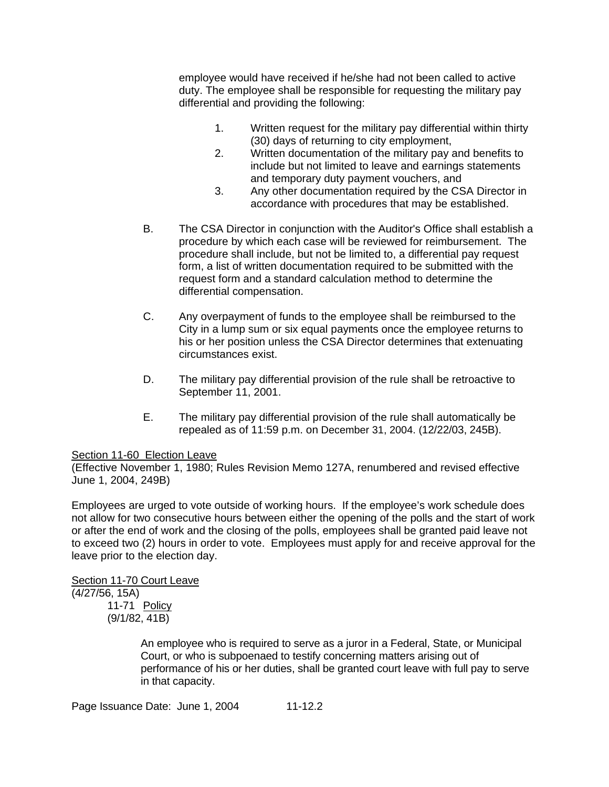employee would have received if he/she had not been called to active duty. The employee shall be responsible for requesting the military pay differential and providing the following:

- 1. Written request for the military pay differential within thirty (30) days of returning to city employment,
- 2. Written documentation of the military pay and benefits to include but not limited to leave and earnings statements and temporary duty payment vouchers, and
- 3. Any other documentation required by the CSA Director in accordance with procedures that may be established.
- B. The CSA Director in conjunction with the Auditor's Office shall establish a procedure by which each case will be reviewed for reimbursement. The procedure shall include, but not be limited to, a differential pay request form, a list of written documentation required to be submitted with the request form and a standard calculation method to determine the differential compensation.
- C. Any overpayment of funds to the employee shall be reimbursed to the City in a lump sum or six equal payments once the employee returns to his or her position unless the CSA Director determines that extenuating circumstances exist.
- D. The military pay differential provision of the rule shall be retroactive to September 11, 2001.
- E. The military pay differential provision of the rule shall automatically be repealed as of 11:59 p.m. on December 31, 2004. (12/22/03, 245B).

# Section 11-60 Election Leave

(Effective November 1, 1980; Rules Revision Memo 127A, renumbered and revised effective June 1, 2004, 249B)

Employees are urged to vote outside of working hours. If the employee's work schedule does not allow for two consecutive hours between either the opening of the polls and the start of work or after the end of work and the closing of the polls, employees shall be granted paid leave not to exceed two (2) hours in order to vote. Employees must apply for and receive approval for the leave prior to the election day.

Section 11-70 Court Leave (4/27/56, 15A) 11-71 Policy (9/1/82, 41B)

> An employee who is required to serve as a juror in a Federal, State, or Municipal Court, or who is subpoenaed to testify concerning matters arising out of performance of his or her duties, shall be granted court leave with full pay to serve in that capacity.

Page Issuance Date: June 1, 2004 11-12.2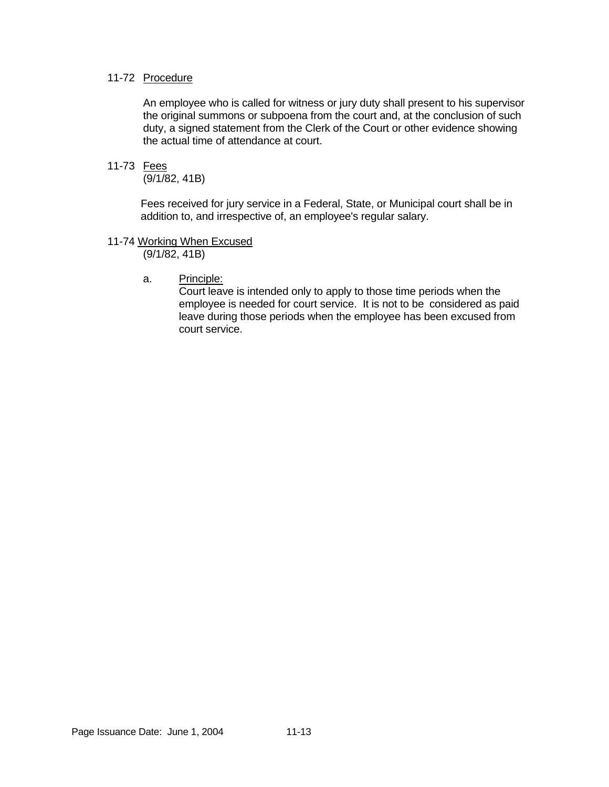# 11-72 Procedure

 An employee who is called for witness or jury duty shall present to his supervisor the original summons or subpoena from the court and, at the conclusion of such duty, a signed statement from the Clerk of the Court or other evidence showing the actual time of attendance at court.

# 11-73 Fees

(9/1/82, 41B)

 Fees received for jury service in a Federal, State, or Municipal court shall be in addition to, and irrespective of, an employee's regular salary.

11-74 Working When Excused

(9/1/82, 41B)

a. Principle:

 Court leave is intended only to apply to those time periods when the employee is needed for court service. It is not to be considered as paid leave during those periods when the employee has been excused from court service.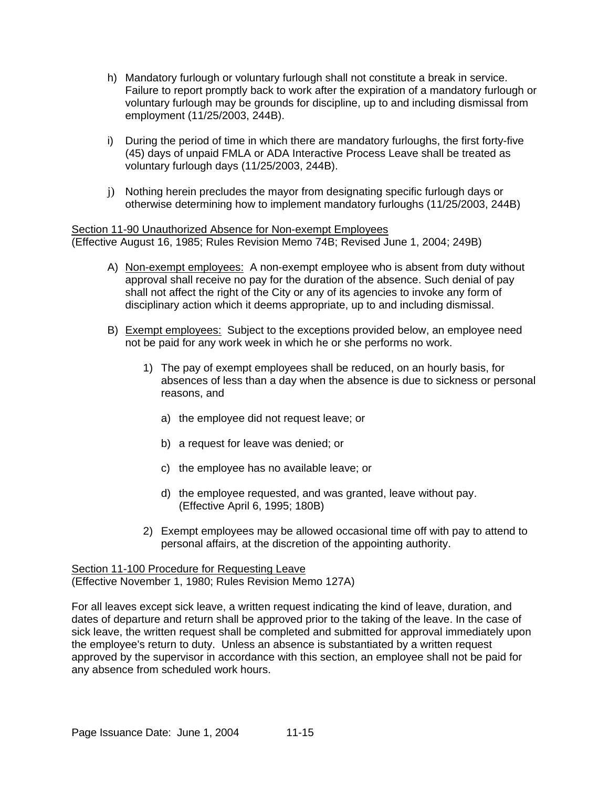- h) Mandatory furlough or voluntary furlough shall not constitute a break in service. Failure to report promptly back to work after the expiration of a mandatory furlough or voluntary furlough may be grounds for discipline, up to and including dismissal from employment (11/25/2003, 244B).
- i) During the period of time in which there are mandatory furloughs, the first forty-five (45) days of unpaid FMLA or ADA Interactive Process Leave shall be treated as voluntary furlough days (11/25/2003, 244B).
- j) Nothing herein precludes the mayor from designating specific furlough days or otherwise determining how to implement mandatory furloughs (11/25/2003, 244B)

Section 11-90 Unauthorized Absence for Non-exempt Employees (Effective August 16, 1985; Rules Revision Memo 74B; Revised June 1, 2004; 249B)

- A) Non-exempt employees: A non-exempt employee who is absent from duty without approval shall receive no pay for the duration of the absence. Such denial of pay shall not affect the right of the City or any of its agencies to invoke any form of disciplinary action which it deems appropriate, up to and including dismissal.
- B) Exempt employees: Subject to the exceptions provided below, an employee need not be paid for any work week in which he or she performs no work.
	- 1) The pay of exempt employees shall be reduced, on an hourly basis, for absences of less than a day when the absence is due to sickness or personal reasons, and
		- a) the employee did not request leave; or
		- b) a request for leave was denied; or
		- c) the employee has no available leave; or
		- d) the employee requested, and was granted, leave without pay. (Effective April 6, 1995; 180B)
	- 2) Exempt employees may be allowed occasional time off with pay to attend to personal affairs, at the discretion of the appointing authority.

Section 11-100 Procedure for Requesting Leave (Effective November 1, 1980; Rules Revision Memo 127A)

For all leaves except sick leave, a written request indicating the kind of leave, duration, and dates of departure and return shall be approved prior to the taking of the leave. In the case of sick leave, the written request shall be completed and submitted for approval immediately upon the employee's return to duty. Unless an absence is substantiated by a written request approved by the supervisor in accordance with this section, an employee shall not be paid for any absence from scheduled work hours.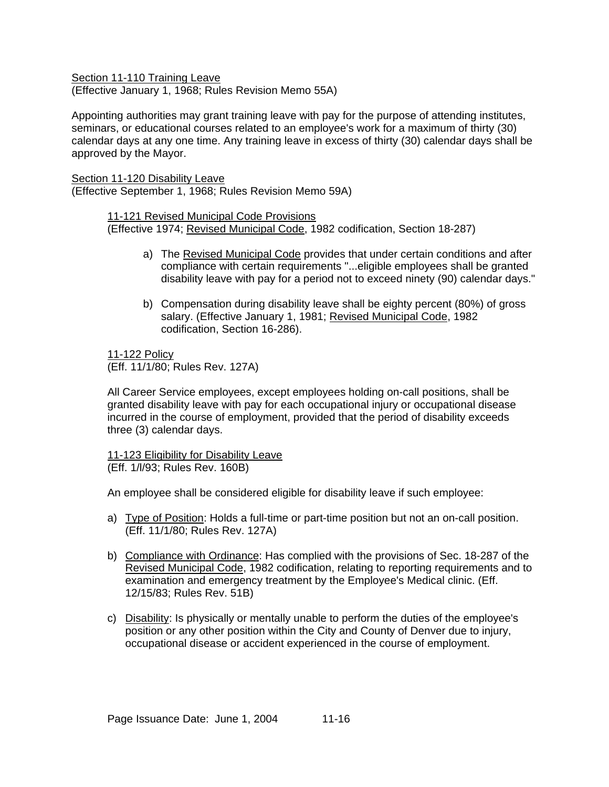Section 11-110 Training Leave (Effective January 1, 1968; Rules Revision Memo 55A)

Appointing authorities may grant training leave with pay for the purpose of attending institutes, seminars, or educational courses related to an employee's work for a maximum of thirty (30) calendar days at any one time. Any training leave in excess of thirty (30) calendar days shall be approved by the Mayor.

Section 11-120 Disability Leave (Effective September 1, 1968; Rules Revision Memo 59A)

> 11-121 Revised Municipal Code Provisions (Effective 1974; Revised Municipal Code, 1982 codification, Section 18-287)

- a) The Revised Municipal Code provides that under certain conditions and after compliance with certain requirements "...eligible employees shall be granted disability leave with pay for a period not to exceed ninety (90) calendar days."
- b) Compensation during disability leave shall be eighty percent (80%) of gross salary. (Effective January 1, 1981; Revised Municipal Code, 1982 codification, Section 16-286).

11-122 Policy (Eff. 11/1/80; Rules Rev. 127A)

All Career Service employees, except employees holding on-call positions, shall be granted disability leave with pay for each occupational injury or occupational disease incurred in the course of employment, provided that the period of disability exceeds three (3) calendar days.

11-123 Eligibility for Disability Leave (Eff. 1/l/93; Rules Rev. 160B)

An employee shall be considered eligible for disability leave if such employee:

- a) Type of Position: Holds a full-time or part-time position but not an on-call position. (Eff. 11/1/80; Rules Rev. 127A)
- b) Compliance with Ordinance: Has complied with the provisions of Sec. 18-287 of the Revised Municipal Code, 1982 codification, relating to reporting requirements and to examination and emergency treatment by the Employee's Medical clinic. (Eff. 12/15/83; Rules Rev. 51B)
- c) Disability: Is physically or mentally unable to perform the duties of the employee's position or any other position within the City and County of Denver due to injury, occupational disease or accident experienced in the course of employment.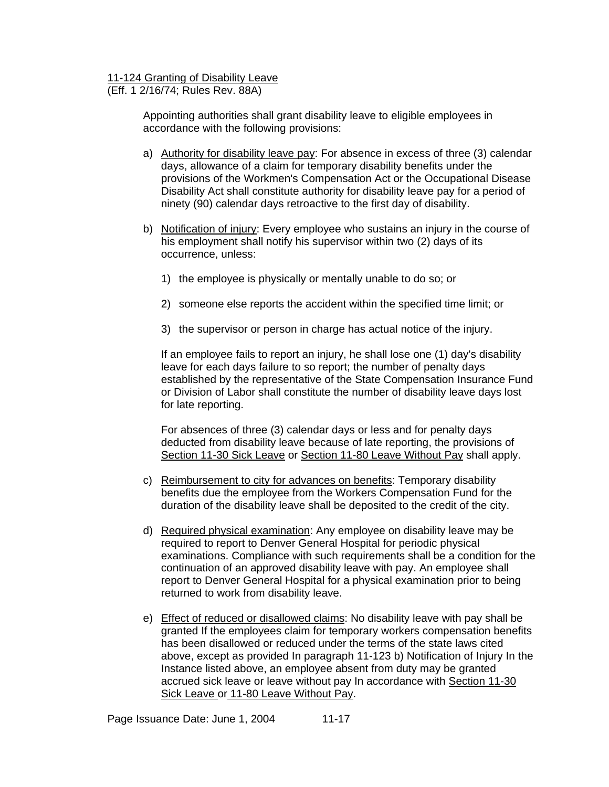# 11-124 Granting of Disability Leave

(Eff. 1 2/16/74; Rules Rev. 88A)

Appointing authorities shall grant disability leave to eligible employees in accordance with the following provisions:

- a) Authority for disability leave pay: For absence in excess of three (3) calendar days, allowance of a claim for temporary disability benefits under the provisions of the Workmen's Compensation Act or the Occupational Disease Disability Act shall constitute authority for disability leave pay for a period of ninety (90) calendar days retroactive to the first day of disability.
- b) Notification of injury: Every employee who sustains an injury in the course of his employment shall notify his supervisor within two (2) days of its occurrence, unless:
	- 1) the employee is physically or mentally unable to do so; or
	- 2) someone else reports the accident within the specified time limit; or
	- 3) the supervisor or person in charge has actual notice of the injury.

If an employee fails to report an injury, he shall lose one (1) day's disability leave for each days failure to so report; the number of penalty days established by the representative of the State Compensation Insurance Fund or Division of Labor shall constitute the number of disability leave days lost for late reporting.

For absences of three (3) calendar days or less and for penalty days deducted from disability leave because of late reporting, the provisions of Section 11-30 Sick Leave or Section 11-80 Leave Without Pay shall apply.

- c) Reimbursement to city for advances on benefits: Temporary disability benefits due the employee from the Workers Compensation Fund for the duration of the disability leave shall be deposited to the credit of the city.
- d) Required physical examination: Any employee on disability leave may be required to report to Denver General Hospital for periodic physical examinations. Compliance with such requirements shall be a condition for the continuation of an approved disability leave with pay. An employee shall report to Denver General Hospital for a physical examination prior to being returned to work from disability leave.
- e) Effect of reduced or disallowed claims: No disability leave with pay shall be granted If the employees claim for temporary workers compensation benefits has been disallowed or reduced under the terms of the state laws cited above, except as provided In paragraph 11-123 b) Notification of Injury In the Instance listed above, an employee absent from duty may be granted accrued sick leave or leave without pay In accordance with Section 11-30 Sick Leave or 11-80 Leave Without Pay.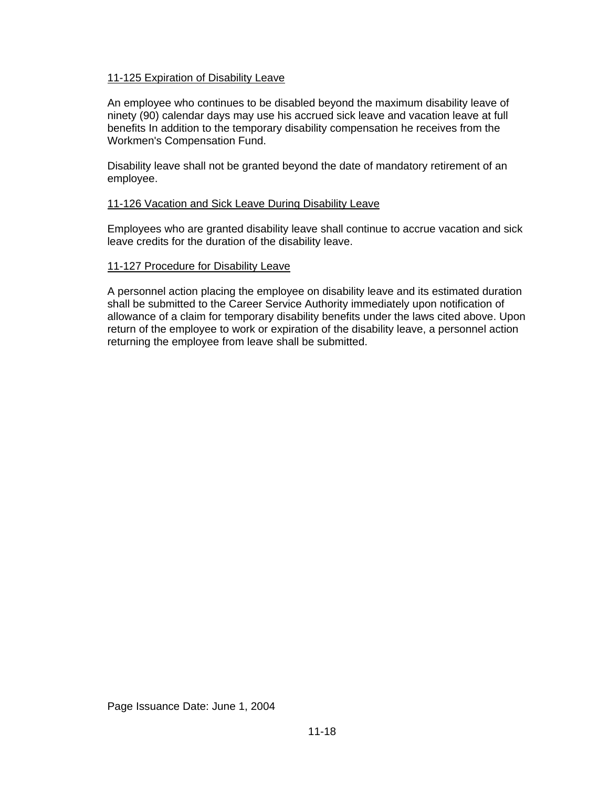# 11-125 Expiration of Disability Leave

An employee who continues to be disabled beyond the maximum disability leave of ninety (90) calendar days may use his accrued sick leave and vacation leave at full benefits In addition to the temporary disability compensation he receives from the Workmen's Compensation Fund.

Disability leave shall not be granted beyond the date of mandatory retirement of an employee.

# 11-126 Vacation and Sick Leave During Disability Leave

Employees who are granted disability leave shall continue to accrue vacation and sick leave credits for the duration of the disability leave.

# 11-127 Procedure for Disability Leave

A personnel action placing the employee on disability leave and its estimated duration shall be submitted to the Career Service Authority immediately upon notification of allowance of a claim for temporary disability benefits under the laws cited above. Upon return of the employee to work or expiration of the disability leave, a personnel action returning the employee from leave shall be submitted.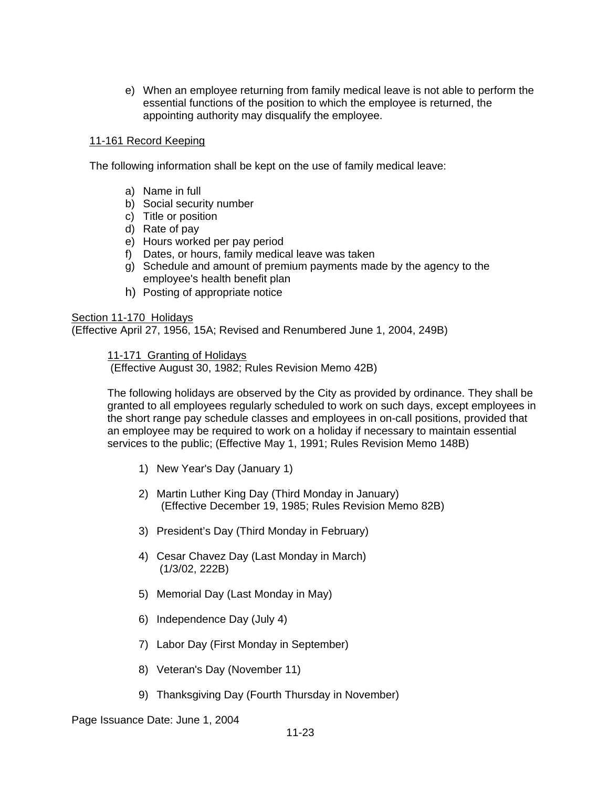e) When an employee returning from family medical leave is not able to perform the essential functions of the position to which the employee is returned, the appointing authority may disqualify the employee.

# 11-161 Record Keeping

The following information shall be kept on the use of family medical leave:

- a) Name in full
- b) Social security number
- c) Title or position
- d) Rate of pay
- e) Hours worked per pay period
- f) Dates, or hours, family medical leave was taken
- g) Schedule and amount of premium payments made by the agency to the employee's health benefit plan
- h) Posting of appropriate notice

# Section 11-170 Holidays

(Effective April 27, 1956, 15A; Revised and Renumbered June 1, 2004, 249B)

11-171 Granting of Holidays

(Effective August 30, 1982; Rules Revision Memo 42B)

The following holidays are observed by the City as provided by ordinance. They shall be granted to all employees regularly scheduled to work on such days, except employees in the short range pay schedule classes and employees in on-call positions, provided that an employee may be required to work on a holiday if necessary to maintain essential services to the public; (Effective May 1, 1991; Rules Revision Memo 148B)

- 1) New Year's Day (January 1)
- 2) Martin Luther King Day (Third Monday in January) (Effective December 19, 1985; Rules Revision Memo 82B)
- 3) President's Day (Third Monday in February)
- 4) Cesar Chavez Day (Last Monday in March) (1/3/02, 222B)
- 5) Memorial Day (Last Monday in May)
- 6) Independence Day (July 4)
- 7) Labor Day (First Monday in September)
- 8) Veteran's Day (November 11)
- 9) Thanksgiving Day (Fourth Thursday in November)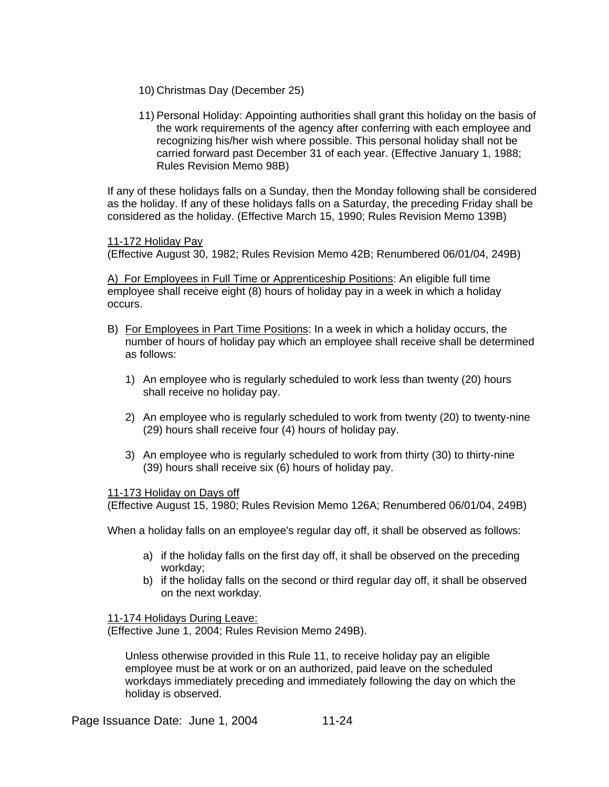- 10) Christmas Day (December 25)
- 11) Personal Holiday: Appointing authorities shall grant this holiday on the basis of the work requirements of the agency after conferring with each employee and recognizing his/her wish where possible. This personal holiday shall not be carried forward past December 31 of each year. (Effective January 1, 1988; Rules Revision Memo 98B)

If any of these holidays falls on a Sunday, then the Monday following shall be considered as the holiday. If any of these holidays falls on a Saturday, the preceding Friday shall be considered as the holiday. (Effective March 15, 1990; Rules Revision Memo 139B)

11-172 Holiday Pay

(Effective August 30, 1982; Rules Revision Memo 42B; Renumbered 06/01/04, 249B)

A) For Employees in Full Time or Apprenticeship Positions: An eligible full time employee shall receive eight (8) hours of holiday pay in a week in which a holiday occurs.

- B) For Employees in Part Time Positions: In a week in which a holiday occurs, the number of hours of holiday pay which an employee shall receive shall be determined as follows:
	- 1) An employee who is regularly scheduled to work less than twenty (20) hours shall receive no holiday pay.
	- 2) An employee who is regularly scheduled to work from twenty (20) to twenty-nine (29) hours shall receive four (4) hours of holiday pay.
	- 3) An employee who is regularly scheduled to work from thirty (30) to thirty-nine (39) hours shall receive six (6) hours of holiday pay.

# 11-173 Holiday on Days off

(Effective August 15, 1980; Rules Revision Memo 126A; Renumbered 06/01/04, 249B)

When a holiday falls on an employee's regular day off, it shall be observed as follows:

- a) if the holiday falls on the first day off, it shall be observed on the preceding workday;
- b) if the holiday falls on the second or third regular day off, it shall be observed on the next workday.

11-174 Holidays During Leave:

(Effective June 1, 2004; Rules Revision Memo 249B).

Unless otherwise provided in this Rule 11, to receive holiday pay an eligible employee must be at work or on an authorized, paid leave on the scheduled workdays immediately preceding and immediately following the day on which the holiday is observed.